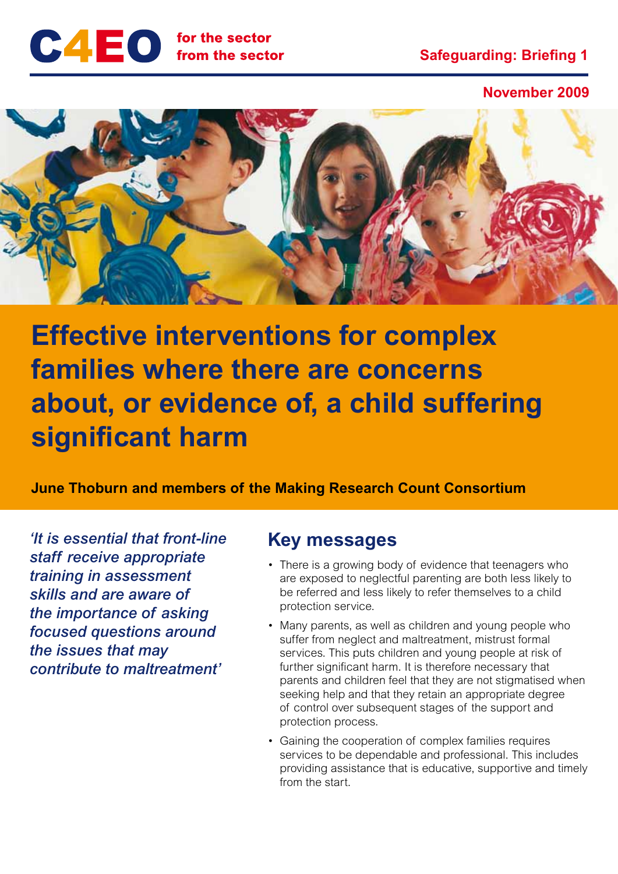

**November 2009**



**Effective interventions for complex families where there are concerns about, or evidence of, a child suffering significant harm** 

**June Thoburn and members of the Making Research Count Consortium** 

*'It is essential that front-line staff receive appropriate training in assessment skills and are aware of the importance of asking focused questions around the issues that may contribute to maltreatment'*

### **Key messages**

- There is a growing body of evidence that teenagers who are exposed to neglectful parenting are both less likely to be referred and less likely to refer themselves to a child protection service.
- Many parents, as well as children and young people who suffer from neglect and maltreatment, mistrust formal services. This puts children and young people at risk of further significant harm. It is therefore necessary that parents and children feel that they are not stigmatised when seeking help and that they retain an appropriate degree of control over subsequent stages of the support and protection process.
- Gaining the cooperation of complex families requires services to be dependable and professional. This includes providing assistance that is educative, supportive and timely from the start.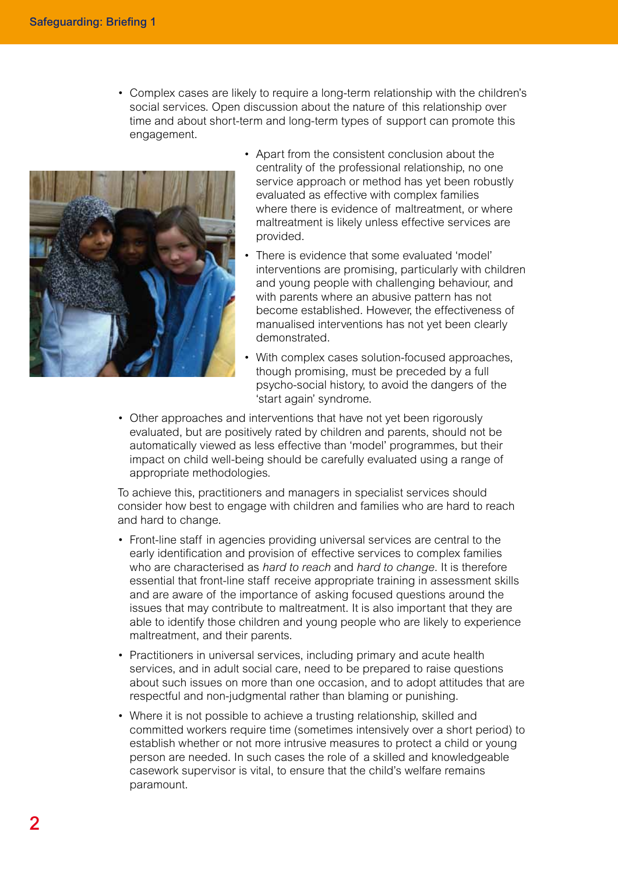• Complex cases are likely to require a long-term relationship with the children's social services. Open discussion about the nature of this relationship over time and about short-term and long-term types of support can promote this engagement.



- Apart from the consistent conclusion about the centrality of the professional relationship, no one service approach or method has yet been robustly evaluated as effective with complex families where there is evidence of maltreatment, or where maltreatment is likely unless effective services are provided.
- There is evidence that some evaluated 'model' interventions are promising, particularly with children and young people with challenging behaviour, and with parents where an abusive pattern has not become established. However, the effectiveness of manualised interventions has not yet been clearly demonstrated.
- With complex cases solution-focused approaches, though promising, must be preceded by a full psycho-social history, to avoid the dangers of the 'start again' syndrome.
- Other approaches and interventions that have not yet been rigorously evaluated, but are positively rated by children and parents, should not be automatically viewed as less effective than 'model' programmes, but their impact on child well-being should be carefully evaluated using a range of appropriate methodologies.

To achieve this, practitioners and managers in specialist services should consider how best to engage with children and families who are hard to reach and hard to change.

- Front-line staff in agencies providing universal services are central to the early identification and provision of effective services to complex families who are characterised as *hard to reach* and *hard to change*. It is therefore essential that front-line staff receive appropriate training in assessment skills and are aware of the importance of asking focused questions around the issues that may contribute to maltreatment. It is also important that they are able to identify those children and young people who are likely to experience maltreatment, and their parents.
- Practitioners in universal services, including primary and acute health services, and in adult social care, need to be prepared to raise questions about such issues on more than one occasion, and to adopt attitudes that are respectful and non-judgmental rather than blaming or punishing.
- Where it is not possible to achieve a trusting relationship, skilled and committed workers require time (sometimes intensively over a short period) to establish whether or not more intrusive measures to protect a child or young person are needed. In such cases the role of a skilled and knowledgeable casework supervisor is vital, to ensure that the child's welfare remains paramount.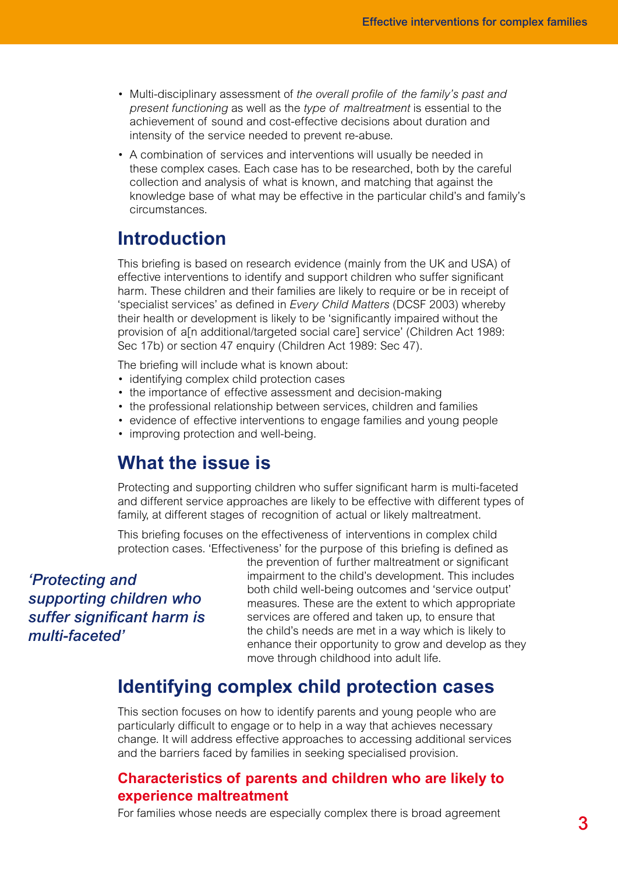- Multi-disciplinary assessment of *the overall profile of the family's past and present functioning* as well as the *type of maltreatment* is essential to the achievement of sound and cost-effective decisions about duration and intensity of the service needed to prevent re-abuse.
- A combination of services and interventions will usually be needed in these complex cases. Each case has to be researched, both by the careful collection and analysis of what is known, and matching that against the knowledge base of what may be effective in the particular child's and family's circumstances.

## **Introduction**

This briefing is based on research evidence (mainly from the UK and USA) of effective interventions to identify and support children who suffer significant harm. These children and their families are likely to require or be in receipt of 'specialist services' as defined in *Every Child Matters* (DCSF 2003) whereby their health or development is likely to be 'significantly impaired without the provision of a[n additional/targeted social care] service' (Children Act 1989: Sec 17b) or section 47 enquiry (Children Act 1989: Sec 47).

The briefing will include what is known about:

- identifying complex child protection cases
- the importance of effective assessment and decision-making
- the professional relationship between services, children and families
- evidence of effective interventions to engage families and young people
- improving protection and well-being.

## **What the issue is**

Protecting and supporting children who suffer significant harm is multi-faceted and different service approaches are likely to be effective with different types of family, at different stages of recognition of actual or likely maltreatment.

This briefing focuses on the effectiveness of interventions in complex child protection cases. 'Effectiveness' for the purpose of this briefing is defined as

*'Protecting and supporting children who suffer significant harm is multi-faceted'*

the prevention of further maltreatment or significant impairment to the child's development. This includes both child well-being outcomes and 'service output' measures. These are the extent to which appropriate services are offered and taken up, to ensure that the child's needs are met in a way which is likely to enhance their opportunity to grow and develop as they move through childhood into adult life.

## **Identifying complex child protection cases**

This section focuses on how to identify parents and young people who are particularly difficult to engage or to help in a way that achieves necessary change. It will address effective approaches to accessing additional services and the barriers faced by families in seeking specialised provision.

### **Characteristics of parents and children who are likely to experience maltreatment**

For families whose needs are especially complex there is broad agreement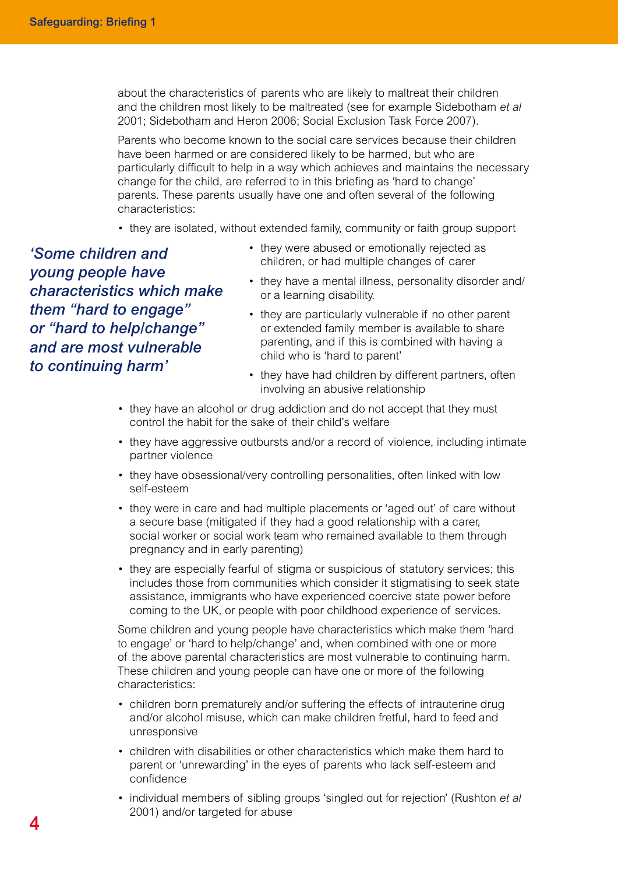about the characteristics of parents who are likely to maltreat their children and the children most likely to be maltreated (see for example Sidebotham *et al* 2001; Sidebotham and Heron 2006; Social Exclusion Task Force 2007).

Parents who become known to the social care services because their children have been harmed or are considered likely to be harmed, but who are particularly difficult to help in a way which achieves and maintains the necessary change for the child, are referred to in this briefing as 'hard to change' parents. These parents usually have one and often several of the following characteristics:

• they are isolated, without extended family, community or faith group support

*'Some children and young people have characteristics which make them "hard to engage" or "hard to help/change" and are most vulnerable to continuing harm'*

- they were abused or emotionally rejected as children, or had multiple changes of carer
- they have a mental illness, personality disorder and/ or a learning disability.
- they are particularly vulnerable if no other parent or extended family member is available to share parenting, and if this is combined with having a child who is 'hard to parent'
- they have had children by different partners, often involving an abusive relationship
- they have an alcohol or drug addiction and do not accept that they must control the habit for the sake of their child's welfare
- they have aggressive outbursts and/or a record of violence, including intimate partner violence
- they have obsessional/very controlling personalities, often linked with low self-esteem
- they were in care and had multiple placements or 'aged out' of care without a secure base (mitigated if they had a good relationship with a carer, social worker or social work team who remained available to them through pregnancy and in early parenting)
- they are especially fearful of stigma or suspicious of statutory services; this includes those from communities which consider it stigmatising to seek state assistance, immigrants who have experienced coercive state power before coming to the UK, or people with poor childhood experience of services.

Some children and young people have characteristics which make them 'hard to engage' or 'hard to help/change' and, when combined with one or more of the above parental characteristics are most vulnerable to continuing harm. These children and young people can have one or more of the following characteristics:

- children born prematurely and/or suffering the effects of intrauterine drug and/or alcohol misuse, which can make children fretful, hard to feed and unresponsive
- children with disabilities or other characteristics which make them hard to parent or 'unrewarding' in the eyes of parents who lack self-esteem and confidence
- individual members of sibling groups 'singled out for rejection' (Rushton *et al* 2001) and/or targeted for abuse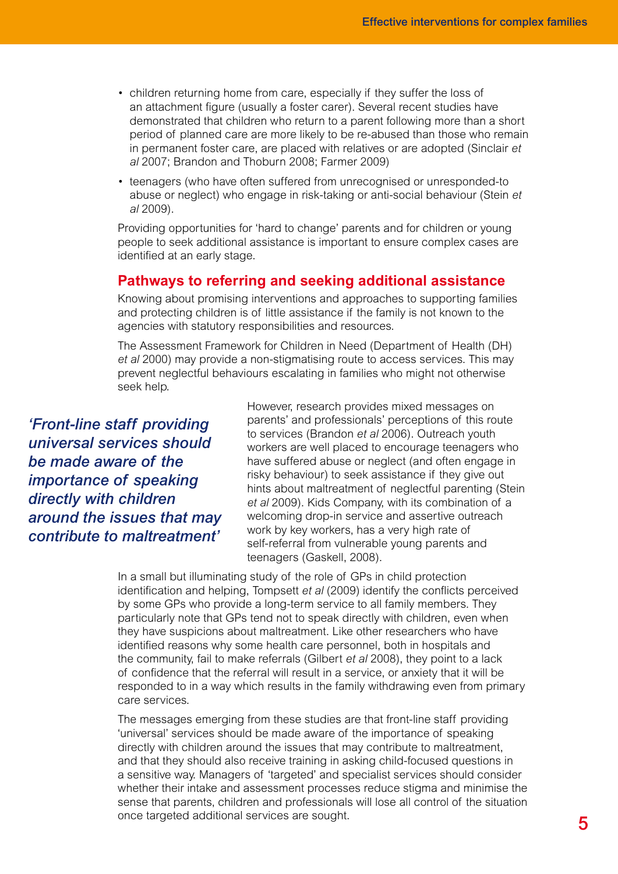- children returning home from care, especially if they suffer the loss of an attachment figure (usually a foster carer). Several recent studies have demonstrated that children who return to a parent following more than a short period of planned care are more likely to be re-abused than those who remain in permanent foster care, are placed with relatives or are adopted (Sinclair *et al* 2007; Brandon and Thoburn 2008; Farmer 2009)
- teenagers (who have often suffered from unrecognised or unresponded-to abuse or neglect) who engage in risk-taking or anti-social behaviour (Stein *et al* 2009).

Providing opportunities for 'hard to change' parents and for children or young people to seek additional assistance is important to ensure complex cases are identified at an early stage.

#### **Pathways to referring and seeking additional assistance**

Knowing about promising interventions and approaches to supporting families and protecting children is of little assistance if the family is not known to the agencies with statutory responsibilities and resources.

The Assessment Framework for Children in Need (Department of Health (DH) *et al* 2000) may provide a non-stigmatising route to access services. This may prevent neglectful behaviours escalating in families who might not otherwise seek help.

*'Front-line staff providing universal services should be made aware of the importance of speaking directly with children around the issues that may contribute to maltreatment'*

However, research provides mixed messages on parents' and professionals' perceptions of this route to services (Brandon *et al* 2006). Outreach youth workers are well placed to encourage teenagers who have suffered abuse or neglect (and often engage in risky behaviour) to seek assistance if they give out hints about maltreatment of neglectful parenting (Stein *et al* 2009). Kids Company, with its combination of a welcoming drop-in service and assertive outreach work by key workers, has a very high rate of self-referral from vulnerable young parents and teenagers (Gaskell, 2008).

In a small but illuminating study of the role of GPs in child protection identification and helping, Tompsett *et al* (2009) identify the conflicts perceived by some GPs who provide a long-term service to all family members. They particularly note that GPs tend not to speak directly with children, even when they have suspicions about maltreatment. Like other researchers who have identified reasons why some health care personnel, both in hospitals and the community, fail to make referrals (Gilbert *et al* 2008), they point to a lack of confidence that the referral will result in a service, or anxiety that it will be responded to in a way which results in the family withdrawing even from primary care services.

The messages emerging from these studies are that front-line staff providing 'universal' services should be made aware of the importance of speaking directly with children around the issues that may contribute to maltreatment, and that they should also receive training in asking child-focused questions in a sensitive way. Managers of 'targeted' and specialist services should consider whether their intake and assessment processes reduce stigma and minimise the sense that parents, children and professionals will lose all control of the situation once targeted additional services are sought.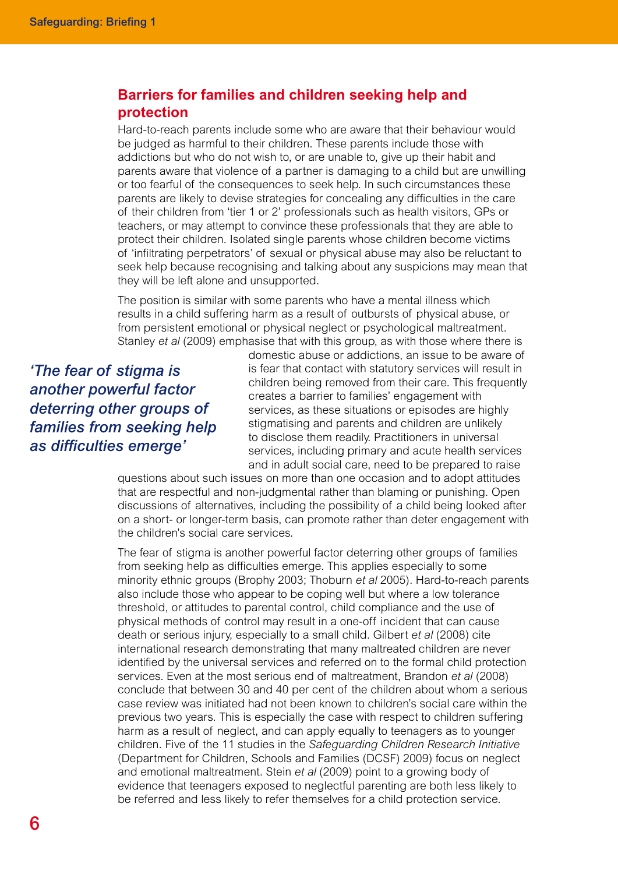### **Barriers for families and children seeking help and protection**

Hard-to-reach parents include some who are aware that their behaviour would be judged as harmful to their children. These parents include those with addictions but who do not wish to, or are unable to, give up their habit and parents aware that violence of a partner is damaging to a child but are unwilling or too fearful of the consequences to seek help. In such circumstances these parents are likely to devise strategies for concealing any difficulties in the care of their children from 'tier 1 or 2' professionals such as health visitors, GPs or teachers, or may attempt to convince these professionals that they are able to protect their children. Isolated single parents whose children become victims of 'infiltrating perpetrators' of sexual or physical abuse may also be reluctant to seek help because recognising and talking about any suspicions may mean that they will be left alone and unsupported.

The position is similar with some parents who have a mental illness which results in a child suffering harm as a result of outbursts of physical abuse, or from persistent emotional or physical neglect or psychological maltreatment. Stanley *et al* (2009) emphasise that with this group, as with those where there is

*'The fear of stigma is another powerful factor deterring other groups of families from seeking help as difficulties emerge'*

domestic abuse or addictions, an issue to be aware of is fear that contact with statutory services will result in children being removed from their care. This frequently creates a barrier to families' engagement with services, as these situations or episodes are highly stigmatising and parents and children are unlikely to disclose them readily. Practitioners in universal services, including primary and acute health services and in adult social care, need to be prepared to raise

questions about such issues on more than one occasion and to adopt attitudes that are respectful and non-judgmental rather than blaming or punishing. Open discussions of alternatives, including the possibility of a child being looked after on a short- or longer-term basis, can promote rather than deter engagement with the children's social care services.

The fear of stigma is another powerful factor deterring other groups of families from seeking help as difficulties emerge. This applies especially to some minority ethnic groups (Brophy 2003; Thoburn *et al* 2005). Hard-to-reach parents also include those who appear to be coping well but where a low tolerance threshold, or attitudes to parental control, child compliance and the use of physical methods of control may result in a one-off incident that can cause death or serious injury, especially to a small child. Gilbert *et al* (2008) cite international research demonstrating that many maltreated children are never identified by the universal services and referred on to the formal child protection services. Even at the most serious end of maltreatment, Brandon *et al* (2008) conclude that between 30 and 40 per cent of the children about whom a serious case review was initiated had not been known to children's social care within the previous two years. This is especially the case with respect to children suffering harm as a result of neglect, and can apply equally to teenagers as to younger children. Five of the 11 studies in the *Safeguarding Children Research Initiative* (Department for Children, Schools and Families (DCSF) 2009) focus on neglect and emotional maltreatment. Stein *et al* (2009) point to a growing body of evidence that teenagers exposed to neglectful parenting are both less likely to be referred and less likely to refer themselves for a child protection service.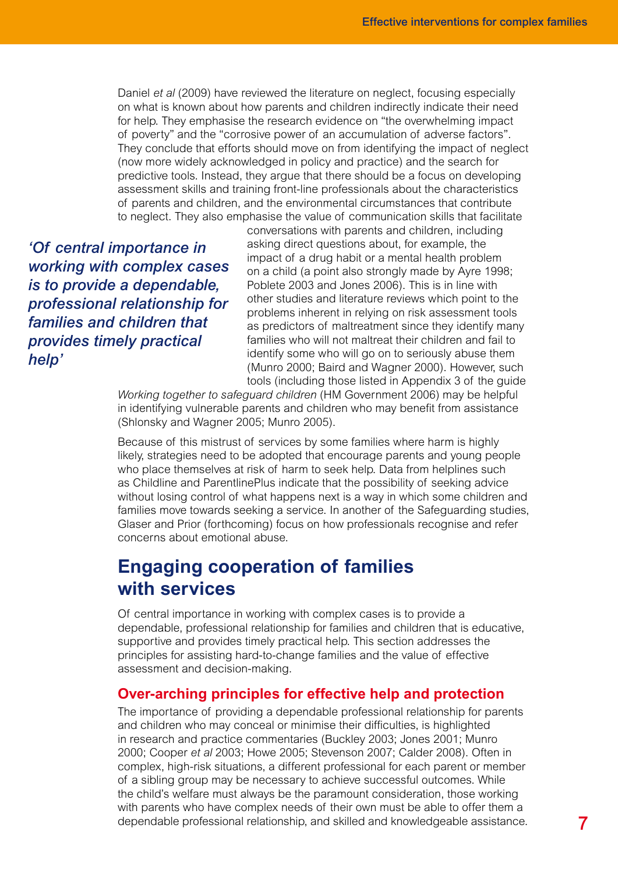Daniel *et al* (2009) have reviewed the literature on neglect, focusing especially on what is known about how parents and children indirectly indicate their need for help. They emphasise the research evidence on "the overwhelming impact of poverty" and the "corrosive power of an accumulation of adverse factors". They conclude that efforts should move on from identifying the impact of neglect (now more widely acknowledged in policy and practice) and the search for predictive tools. Instead, they argue that there should be a focus on developing assessment skills and training front-line professionals about the characteristics of parents and children, and the environmental circumstances that contribute to neglect. They also emphasise the value of communication skills that facilitate

*'Of central importance in working with complex cases is to provide a dependable, professional relationship for families and children that provides timely practical help'*

conversations with parents and children, including asking direct questions about, for example, the impact of a drug habit or a mental health problem on a child (a point also strongly made by Ayre 1998; Poblete 2003 and Jones 2006). This is in line with other studies and literature reviews which point to the problems inherent in relying on risk assessment tools as predictors of maltreatment since they identify many families who will not maltreat their children and fail to identify some who will go on to seriously abuse them (Munro 2000; Baird and Wagner 2000). However, such tools (including those listed in Appendix 3 of the guide

*Working together to safeguard children* (HM Government 2006) may be helpful in identifying vulnerable parents and children who may benefit from assistance (Shlonsky and Wagner 2005; Munro 2005).

Because of this mistrust of services by some families where harm is highly likely, strategies need to be adopted that encourage parents and young people who place themselves at risk of harm to seek help. Data from helplines such as Childline and ParentlinePlus indicate that the possibility of seeking advice without losing control of what happens next is a way in which some children and families move towards seeking a service. In another of the Safeguarding studies, Glaser and Prior (forthcoming) focus on how professionals recognise and refer concerns about emotional abuse.

## **Engaging cooperation of families with services**

Of central importance in working with complex cases is to provide a dependable, professional relationship for families and children that is educative, supportive and provides timely practical help. This section addresses the principles for assisting hard-to-change families and the value of effective assessment and decision-making.

#### **Over-arching principles for effective help and protection**

The importance of providing a dependable professional relationship for parents and children who may conceal or minimise their difficulties, is highlighted in research and practice commentaries (Buckley 2003; Jones 2001; Munro 2000; Cooper *et al* 2003; Howe 2005; Stevenson 2007; Calder 2008). Often in complex, high-risk situations, a different professional for each parent or member of a sibling group may be necessary to achieve successful outcomes. While the child's welfare must always be the paramount consideration, those working with parents who have complex needs of their own must be able to offer them a dependable professional relationship, and skilled and knowledgeable assistance.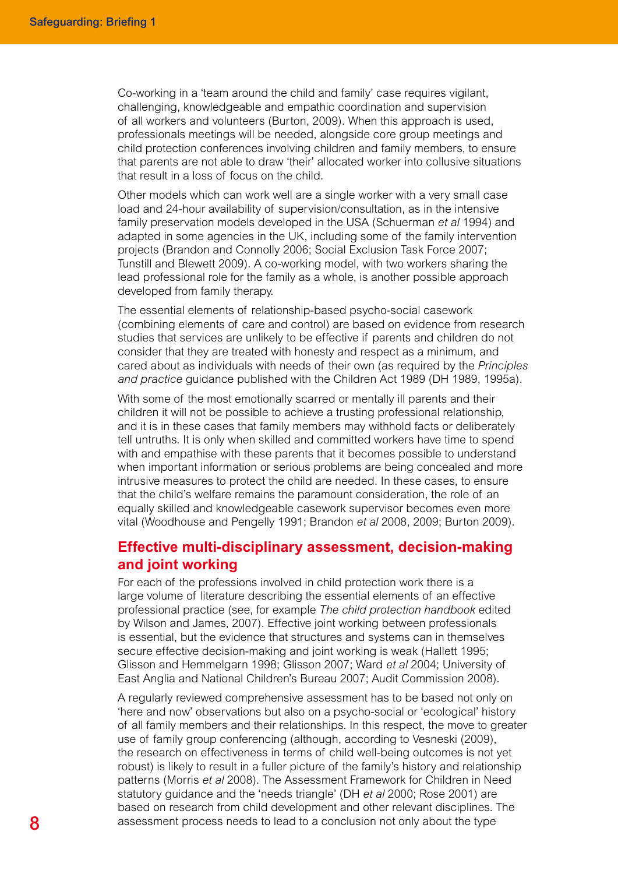Co-working in a 'team around the child and family' case requires vigilant, challenging, knowledgeable and empathic coordination and supervision of all workers and volunteers (Burton, 2009). When this approach is used, professionals meetings will be needed, alongside core group meetings and child protection conferences involving children and family members, to ensure that parents are not able to draw 'their' allocated worker into collusive situations that result in a loss of focus on the child.

Other models which can work well are a single worker with a very small case load and 24-hour availability of supervision/consultation, as in the intensive family preservation models developed in the USA (Schuerman *et al* 1994) and adapted in some agencies in the UK, including some of the family intervention projects (Brandon and Connolly 2006; Social Exclusion Task Force 2007; Tunstill and Blewett 2009). A co-working model, with two workers sharing the lead professional role for the family as a whole, is another possible approach developed from family therapy.

The essential elements of relationship-based psycho-social casework (combining elements of care and control) are based on evidence from research studies that services are unlikely to be effective if parents and children do not consider that they are treated with honesty and respect as a minimum, and cared about as individuals with needs of their own (as required by the *Principles and practice* guidance published with the Children Act 1989 (DH 1989, 1995a).

With some of the most emotionally scarred or mentally ill parents and their children it will not be possible to achieve a trusting professional relationship, and it is in these cases that family members may withhold facts or deliberately tell untruths. It is only when skilled and committed workers have time to spend with and empathise with these parents that it becomes possible to understand when important information or serious problems are being concealed and more intrusive measures to protect the child are needed. In these cases, to ensure that the child's welfare remains the paramount consideration, the role of an equally skilled and knowledgeable casework supervisor becomes even more vital (Woodhouse and Pengelly 1991; Brandon *et al* 2008, 2009; Burton 2009).

### **Effective multi-disciplinary assessment, decision-making and joint working**

For each of the professions involved in child protection work there is a large volume of literature describing the essential elements of an effective professional practice (see, for example *The child protection handbook* edited by Wilson and James, 2007). Effective joint working between professionals is essential, but the evidence that structures and systems can in themselves secure effective decision-making and joint working is weak (Hallett 1995; Glisson and Hemmelgarn 1998; Glisson 2007; Ward *et al* 2004; University of East Anglia and National Children's Bureau 2007; Audit Commission 2008).

A regularly reviewed comprehensive assessment has to be based not only on 'here and now' observations but also on a psycho-social or 'ecological' history of all family members and their relationships. In this respect, the move to greater use of family group conferencing (although, according to Vesneski (2009), the research on effectiveness in terms of child well-being outcomes is not yet robust) is likely to result in a fuller picture of the family's history and relationship patterns (Morris *et al* 2008). The Assessment Framework for Children in Need statutory guidance and the 'needs triangle' (DH *et al* 2000; Rose 2001) are based on research from child development and other relevant disciplines. The assessment process needs to lead to a conclusion not only about the type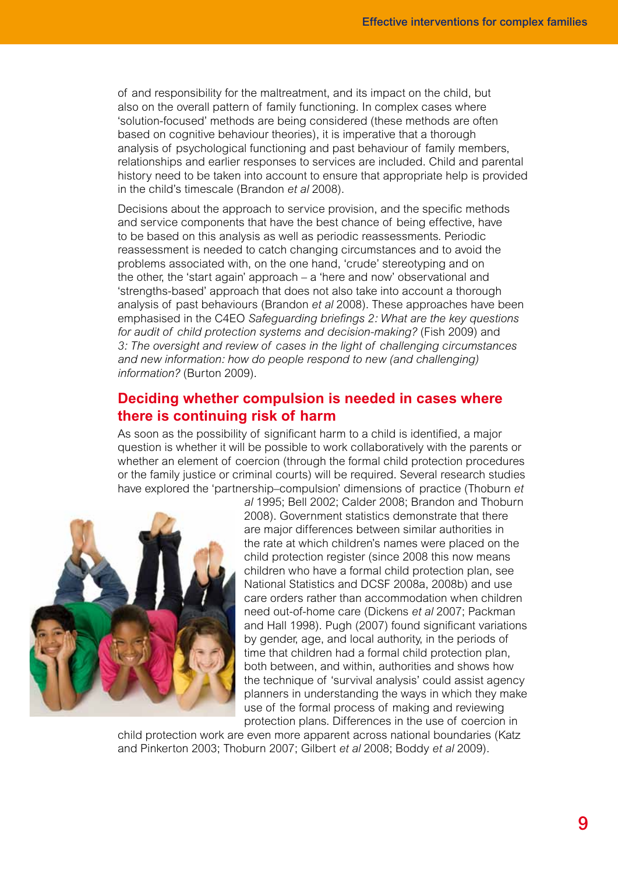of and responsibility for the maltreatment, and its impact on the child, but also on the overall pattern of family functioning. In complex cases where 'solution-focused' methods are being considered (these methods are often based on cognitive behaviour theories), it is imperative that a thorough analysis of psychological functioning and past behaviour of family members, relationships and earlier responses to services are included. Child and parental history need to be taken into account to ensure that appropriate help is provided in the child's timescale (Brandon *et al* 2008).

Decisions about the approach to service provision, and the specific methods and service components that have the best chance of being effective, have to be based on this analysis as well as periodic reassessments. Periodic reassessment is needed to catch changing circumstances and to avoid the problems associated with, on the one hand, 'crude' stereotyping and on the other, the 'start again' approach – a 'here and now' observational and 'strengths-based' approach that does not also take into account a thorough analysis of past behaviours (Brandon *et al* 2008). These approaches have been emphasised in the C4EO *Safeguarding briefings 2: What are the key questions for audit of child protection systems and decision-making?* (Fish 2009) and *3: The oversight and review of cases in the light of challenging circumstances and new information: how do people respond to new (and challenging) information?* (Burton 2009).

### **Deciding whether compulsion is needed in cases where there is continuing risk of harm**

As soon as the possibility of significant harm to a child is identified, a major question is whether it will be possible to work collaboratively with the parents or whether an element of coercion (through the formal child protection procedures or the family justice or criminal courts) will be required. Several research studies have explored the 'partnership–compulsion' dimensions of practice (Thoburn *et* 



*al* 1995; Bell 2002; Calder 2008; Brandon and Thoburn 2008). Government statistics demonstrate that there are major differences between similar authorities in the rate at which children's names were placed on the child protection register (since 2008 this now means children who have a formal child protection plan, see National Statistics and DCSF 2008a, 2008b) and use care orders rather than accommodation when children need out-of-home care (Dickens *et al* 2007; Packman and Hall 1998). Pugh (2007) found significant variations by gender, age, and local authority, in the periods of time that children had a formal child protection plan, both between, and within, authorities and shows how the technique of 'survival analysis' could assist agency planners in understanding the ways in which they make use of the formal process of making and reviewing protection plans. Differences in the use of coercion in

child protection work are even more apparent across national boundaries (Katz and Pinkerton 2003; Thoburn 2007; Gilbert *et al* 2008; Boddy *et al* 2009).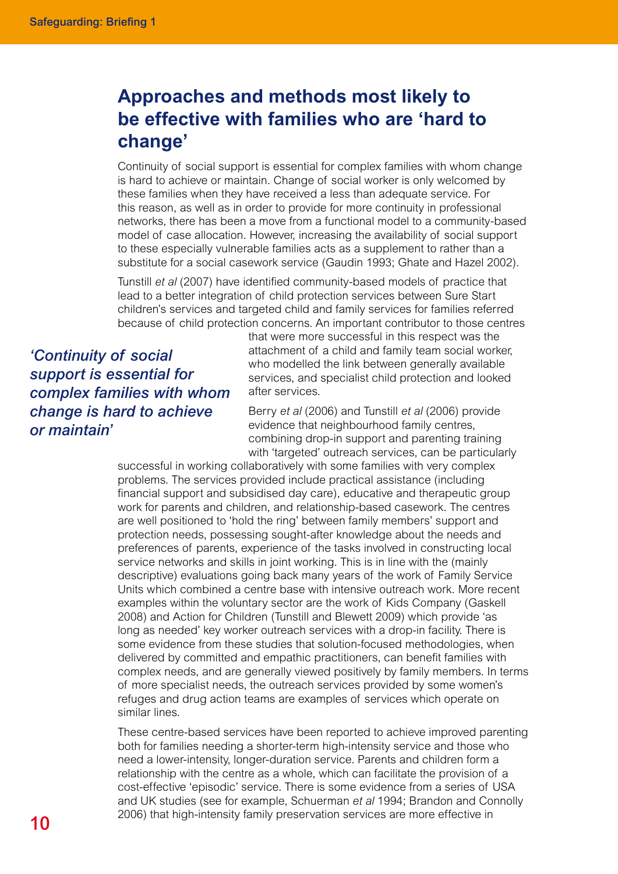# **Approaches and methods most likely to be effective with families who are 'hard to change'**

Continuity of social support is essential for complex families with whom change is hard to achieve or maintain. Change of social worker is only welcomed by these families when they have received a less than adequate service. For this reason, as well as in order to provide for more continuity in professional networks, there has been a move from a functional model to a community-based model of case allocation. However, increasing the availability of social support to these especially vulnerable families acts as a supplement to rather than a substitute for a social casework service (Gaudin 1993; Ghate and Hazel 2002).

Tunstill *et al* (2007) have identified community-based models of practice that lead to a better integration of child protection services between Sure Start children's services and targeted child and family services for families referred because of child protection concerns. An important contributor to those centres

*'Continuity of social support is essential for complex families with whom change is hard to achieve or maintain'*

that were more successful in this respect was the attachment of a child and family team social worker, who modelled the link between generally available services, and specialist child protection and looked after services.

Berry *et al* (2006) and Tunstill *et al* (2006) provide evidence that neighbourhood family centres, combining drop-in support and parenting training with 'targeted' outreach services, can be particularly

successful in working collaboratively with some families with very complex problems. The services provided include practical assistance (including financial support and subsidised day care), educative and therapeutic group work for parents and children, and relationship-based casework. The centres are well positioned to 'hold the ring' between family members' support and protection needs, possessing sought-after knowledge about the needs and preferences of parents, experience of the tasks involved in constructing local service networks and skills in joint working. This is in line with the (mainly descriptive) evaluations going back many years of the work of Family Service Units which combined a centre base with intensive outreach work. More recent examples within the voluntary sector are the work of Kids Company (Gaskell 2008) and Action for Children (Tunstill and Blewett 2009) which provide 'as long as needed' key worker outreach services with a drop-in facility. There is some evidence from these studies that solution-focused methodologies, when delivered by committed and empathic practitioners, can benefit families with complex needs, and are generally viewed positively by family members. In terms of more specialist needs, the outreach services provided by some women's refuges and drug action teams are examples of services which operate on similar lines.

These centre-based services have been reported to achieve improved parenting both for families needing a shorter-term high-intensity service and those who need a lower-intensity, longer-duration service. Parents and children form a relationship with the centre as a whole, which can facilitate the provision of a cost-effective 'episodic' service. There is some evidence from a series of USA and UK studies (see for example, Schuerman *et al* 1994; Brandon and Connolly 2006) that high-intensity family preservation services are more effective in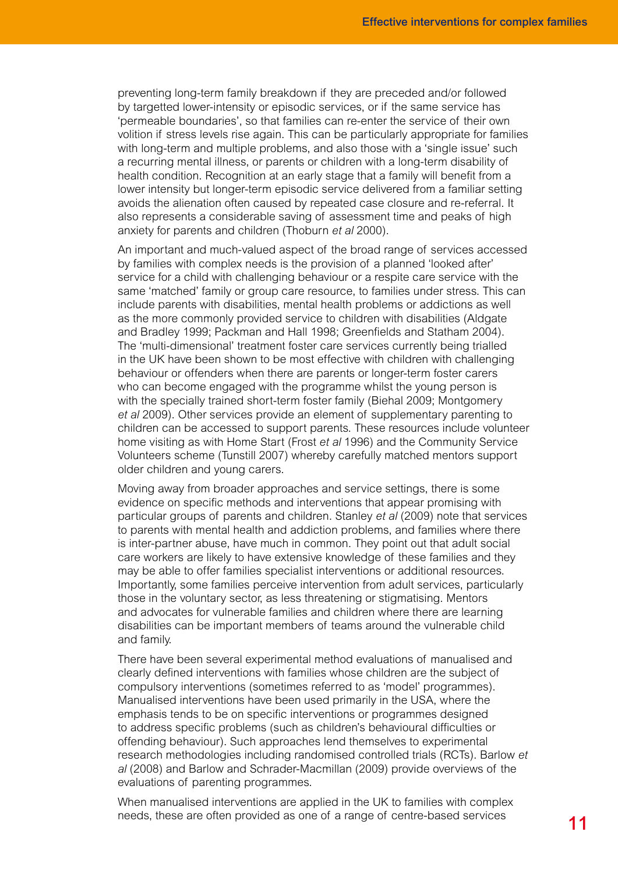preventing long-term family breakdown if they are preceded and/or followed by targetted lower-intensity or episodic services, or if the same service has 'permeable boundaries', so that families can re-enter the service of their own volition if stress levels rise again. This can be particularly appropriate for families with long-term and multiple problems, and also those with a 'single issue' such a recurring mental illness, or parents or children with a long-term disability of health condition. Recognition at an early stage that a family will benefit from a lower intensity but longer-term episodic service delivered from a familiar setting avoids the alienation often caused by repeated case closure and re-referral. It also represents a considerable saving of assessment time and peaks of high anxiety for parents and children (Thoburn *et al* 2000).

An important and much-valued aspect of the broad range of services accessed by families with complex needs is the provision of a planned 'looked after' service for a child with challenging behaviour or a respite care service with the same 'matched' family or group care resource, to families under stress. This can include parents with disabilities, mental health problems or addictions as well as the more commonly provided service to children with disabilities (Aldgate and Bradley 1999; Packman and Hall 1998; Greenfields and Statham 2004). The 'multi-dimensional' treatment foster care services currently being trialled in the UK have been shown to be most effective with children with challenging behaviour or offenders when there are parents or longer-term foster carers who can become engaged with the programme whilst the young person is with the specially trained short-term foster family (Biehal 2009; Montgomery *et al* 2009). Other services provide an element of supplementary parenting to children can be accessed to support parents. These resources include volunteer home visiting as with Home Start (Frost *et al* 1996) and the Community Service Volunteers scheme (Tunstill 2007) whereby carefully matched mentors support older children and young carers.

Moving away from broader approaches and service settings, there is some evidence on specific methods and interventions that appear promising with particular groups of parents and children. Stanley *et al* (2009) note that services to parents with mental health and addiction problems, and families where there is inter-partner abuse, have much in common. They point out that adult social care workers are likely to have extensive knowledge of these families and they may be able to offer families specialist interventions or additional resources. Importantly, some families perceive intervention from adult services, particularly those in the voluntary sector, as less threatening or stigmatising. Mentors and advocates for vulnerable families and children where there are learning disabilities can be important members of teams around the vulnerable child and family.

There have been several experimental method evaluations of manualised and clearly defined interventions with families whose children are the subject of compulsory interventions (sometimes referred to as 'model' programmes). Manualised interventions have been used primarily in the USA, where the emphasis tends to be on specific interventions or programmes designed to address specific problems (such as children's behavioural difficulties or offending behaviour). Such approaches lend themselves to experimental research methodologies including randomised controlled trials (RCTs). Barlow *et al* (2008) and Barlow and Schrader-Macmillan (2009) provide overviews of the evaluations of parenting programmes.

When manualised interventions are applied in the UK to families with complex needs, these are often provided as one of a range of centre-based services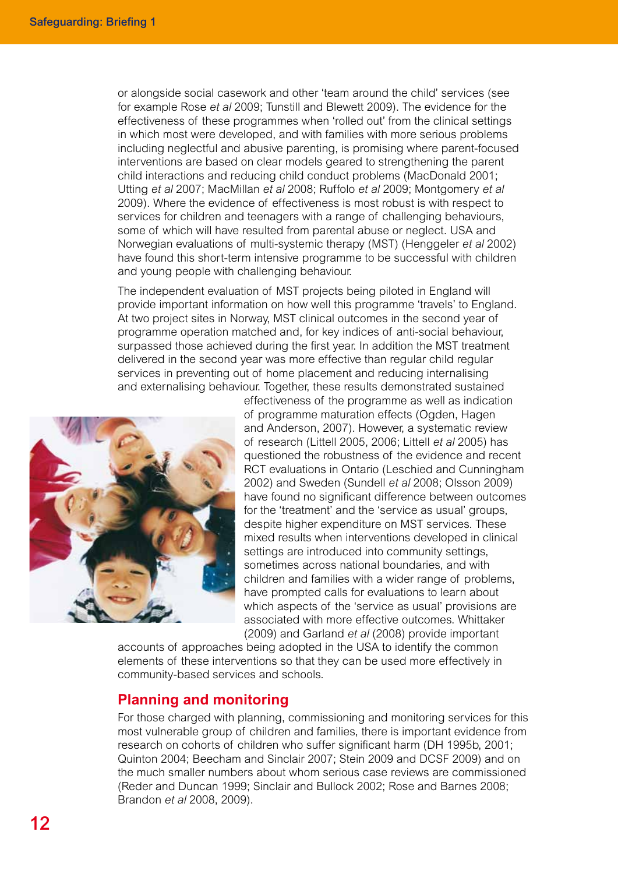or alongside social casework and other 'team around the child' services (see for example Rose *et al* 2009; Tunstill and Blewett 2009). The evidence for the effectiveness of these programmes when 'rolled out' from the clinical settings in which most were developed, and with families with more serious problems including neglectful and abusive parenting, is promising where parent-focused interventions are based on clear models geared to strengthening the parent child interactions and reducing child conduct problems (MacDonald 2001; Utting *et al* 2007; MacMillan *et al* 2008; Ruffolo *et al* 2009; Montgomery *et al* 2009). Where the evidence of effectiveness is most robust is with respect to services for children and teenagers with a range of challenging behaviours, some of which will have resulted from parental abuse or neglect. USA and Norwegian evaluations of multi-systemic therapy (MST) (Henggeler *et al* 2002) have found this short-term intensive programme to be successful with children and young people with challenging behaviour.

The independent evaluation of MST projects being piloted in England will provide important information on how well this programme 'travels' to England. At two project sites in Norway, MST clinical outcomes in the second year of programme operation matched and, for key indices of anti-social behaviour, surpassed those achieved during the first year. In addition the MST treatment delivered in the second year was more effective than regular child regular services in preventing out of home placement and reducing internalising and externalising behaviour. Together, these results demonstrated sustained



effectiveness of the programme as well as indication of programme maturation effects (Ogden, Hagen and Anderson, 2007). However, a systematic review of research (Littell 2005, 2006; Littell *et al* 2005) has questioned the robustness of the evidence and recent RCT evaluations in Ontario (Leschied and Cunningham 2002) and Sweden (Sundell *et al* 2008; Olsson 2009) have found no significant difference between outcomes for the 'treatment' and the 'service as usual' groups. despite higher expenditure on MST services. These mixed results when interventions developed in clinical settings are introduced into community settings, sometimes across national boundaries, and with children and families with a wider range of problems, have prompted calls for evaluations to learn about which aspects of the 'service as usual' provisions are associated with more effective outcomes. Whittaker (2009) and Garland *et al* (2008) provide important

accounts of approaches being adopted in the USA to identify the common elements of these interventions so that they can be used more effectively in community-based services and schools.

### **Planning and monitoring**

For those charged with planning, commissioning and monitoring services for this most vulnerable group of children and families, there is important evidence from research on cohorts of children who suffer significant harm (DH 1995b, 2001; Quinton 2004; Beecham and Sinclair 2007; Stein 2009 and DCSF 2009) and on the much smaller numbers about whom serious case reviews are commissioned (Reder and Duncan 1999; Sinclair and Bullock 2002; Rose and Barnes 2008; Brandon *et al* 2008, 2009).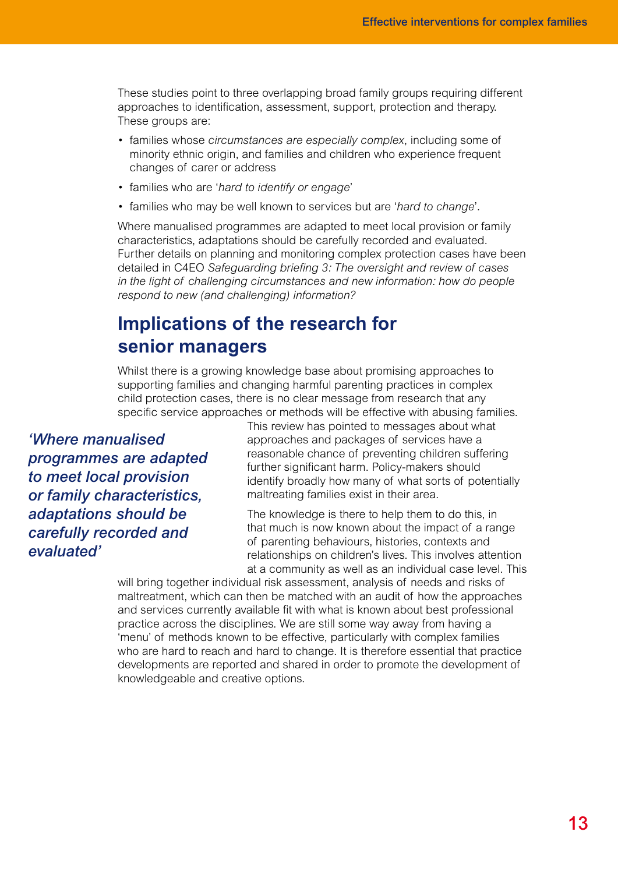These studies point to three overlapping broad family groups requiring different approaches to identification, assessment, support, protection and therapy. These groups are:

- families whose *circumstances are especially complex*, including some of minority ethnic origin, and families and children who experience frequent changes of carer or address
- families who are '*hard to identify or engage*'
- families who may be well known to services but are '*hard to change*'.

Where manualised programmes are adapted to meet local provision or family characteristics, adaptations should be carefully recorded and evaluated. Further details on planning and monitoring complex protection cases have been detailed in C4EO *Safeguarding briefing 3: The oversight and review of cases in the light of challenging circumstances and new information: how do people respond to new (and challenging) information?*

# **Implications of the research for senior managers**

Whilst there is a growing knowledge base about promising approaches to supporting families and changing harmful parenting practices in complex child protection cases, there is no clear message from research that any specific service approaches or methods will be effective with abusing families.

*'Where manualised programmes are adapted to meet local provision or family characteristics, adaptations should be carefully recorded and evaluated'*

This review has pointed to messages about what approaches and packages of services have a reasonable chance of preventing children suffering further significant harm. Policy-makers should identify broadly how many of what sorts of potentially maltreating families exist in their area.

The knowledge is there to help them to do this, in that much is now known about the impact of a range of parenting behaviours, histories, contexts and relationships on children's lives. This involves attention at a community as well as an individual case level. This

will bring together individual risk assessment, analysis of needs and risks of maltreatment, which can then be matched with an audit of how the approaches and services currently available fit with what is known about best professional practice across the disciplines. We are still some way away from having a 'menu' of methods known to be effective, particularly with complex families who are hard to reach and hard to change. It is therefore essential that practice developments are reported and shared in order to promote the development of knowledgeable and creative options.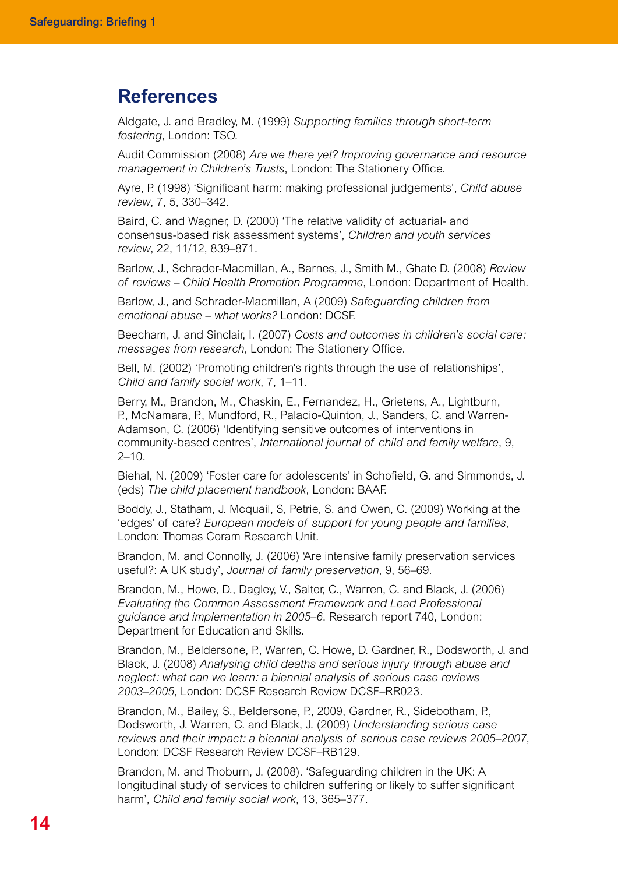## **References**

Aldgate, J. and Bradley, M. (1999) *Supporting families through short-term fostering*, London: TSO.

Audit Commission (2008) *Are we there yet? Improving governance and resource management in Children's Trusts*, London: The Stationery Office.

Ayre, P. (1998) 'Significant harm: making professional judgements', *Child abuse review*, 7, 5, 330–342.

Baird, C. and Wagner, D. (2000) 'The relative validity of actuarial- and consensus-based risk assessment systems', *Children and youth services review*, 22, 11/12, 839–871.

Barlow, J., Schrader-Macmillan, A., Barnes, J., Smith M., Ghate D. (2008) *Review of reviews – Child Health Promotion Programme*, London: Department of Health.

Barlow, J., and Schrader-Macmillan, A (2009) *Safeguarding children from emotional abuse – what works?* London: DCSF.

Beecham, J. and Sinclair, I. (2007) *Costs and outcomes in children's social care: messages from research*, London: The Stationery Office.

Bell, M. (2002) 'Promoting children's rights through the use of relationships', *Child and family social work*, 7, 1–11.

Berry, M., Brandon, M., Chaskin, E., Fernandez, H., Grietens, A., Lightburn, P., McNamara, P., Mundford, R., Palacio-Quinton, J., Sanders, C. and Warren-Adamson, C. (2006) 'Identifying sensitive outcomes of interventions in community-based centres', *International journal of child and family welfare*, 9,  $2 - 10$ .

Biehal, N. (2009) 'Foster care for adolescents' in Schofield, G. and Simmonds, J. (eds) *The child placement handbook*, London: BAAF.

Boddy, J., Statham, J. Mcquail, S, Petrie, S. and Owen, C. (2009) Working at the 'edges' of care? *European models of support for young people and families*, London: Thomas Coram Research Unit.

Brandon, M. and Connolly, J. (2006) 'Are intensive family preservation services useful?: A UK study', *Journal of family preservation*, 9, 56–69.

Brandon, M., Howe, D., Dagley, V., Salter, C., Warren, C. and Black, J. (2006) *Evaluating the Common Assessment Framework and Lead Professional guidance and implementation in 2005–6*. Research report 740, London: Department for Education and Skills.

Brandon, M., Beldersone, P., Warren, C. Howe, D. Gardner, R., Dodsworth, J. and Black, J. (2008) *Analysing child deaths and serious injury through abuse and neglect: what can we learn: a biennial analysis of serious case reviews 2003–2005*, London: DCSF Research Review DCSF–RR023.

Brandon, M., Bailey, S., Beldersone, P., 2009, Gardner, R., Sidebotham, P., Dodsworth, J. Warren, C. and Black, J. (2009) *Understanding serious case reviews and their impact: a biennial analysis of serious case reviews 2005–2007*, London: DCSF Research Review DCSF–RB129.

Brandon, M. and Thoburn, J. (2008). 'Safeguarding children in the UK: A longitudinal study of services to children suffering or likely to suffer significant harm', *Child and family social work*, 13, 365–377.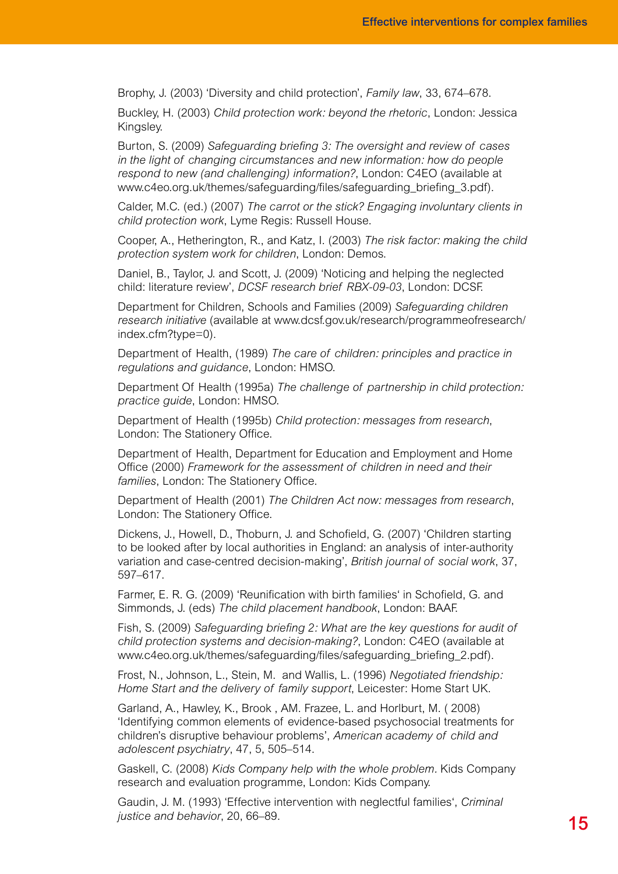Brophy, J. (2003) 'Diversity and child protection', *Family law*, 33, 674–678.

Buckley, H. (2003) *Child protection work: beyond the rhetoric*, London: Jessica Kingsley.

Burton, S. (2009) *Safeguarding briefing 3: The oversight and review of cases in the light of changing circumstances and new information: how do people respond to new (and challenging) information?*, London: C4EO (available at www.c4eo.org.uk/themes/safeguarding/files/safeguarding\_briefing\_3.pdf).

Calder, M.C. (ed.) (2007) *The carrot or the stick? Engaging involuntary clients in child protection work*, Lyme Regis: Russell House.

Cooper, A., Hetherington, R., and Katz, I. (2003) *The risk factor: making the child protection system work for children*, London: Demos.

Daniel, B., Taylor, J. and Scott, J. (2009) 'Noticing and helping the neglected child: literature review', *DCSF research brief RBX-09-03*, London: DCSF.

Department for Children, Schools and Families (2009) *Safeguarding children research initiative* (available at www.dcsf.gov.uk/research/programmeofresearch/ index.cfm?type=0).

Department of Health, (1989) *The care of children: principles and practice in regulations and guidance*, London: HMSO.

Department Of Health (1995a) *The challenge of partnership in child protection: practice guide*, London: HMSO.

Department of Health (1995b) *Child protection: messages from research*, London: The Stationery Office.

Department of Health, Department for Education and Employment and Home Office (2000) *Framework for the assessment of children in need and their families*, London: The Stationery Office.

Department of Health (2001) *The Children Act now: messages from research*, London: The Stationery Office.

Dickens, J., Howell, D., Thoburn, J. and Schofield, G. (2007) 'Children starting to be looked after by local authorities in England: an analysis of inter-authority variation and case-centred decision-making', *British journal of social work*, 37, 597–617.

Farmer, E. R. G. (2009) 'Reunification with birth families' in Schofield, G. and Simmonds, J. (eds) *The child placement handbook*, London: BAAF.

Fish, S. (2009) *Safeguarding briefing 2: What are the key questions for audit of child protection systems and decision-making?*, London: C4EO (available at www.c4eo.org.uk/themes/safeguarding/files/safeguarding\_briefing\_2.pdf).

Frost, N., Johnson, L., Stein, M. and Wallis, L. (1996) *Negotiated friendship: Home Start and the delivery of family support*, Leicester: Home Start UK.

Garland, A., Hawley, K., Brook , AM. Frazee, L. and Horlburt, M. ( 2008) 'Identifying common elements of evidence-based psychosocial treatments for children's disruptive behaviour problems', *American academy of child and adolescent psychiatry*, 47, 5, 505–514.

Gaskell, C. (2008) *Kids Company help with the whole problem.* Kids Company research and evaluation programme, London: Kids Company.

Gaudin, J. M. (1993) 'Effective intervention with neglectful families', *Criminal justice and behavior*, 20, 66–89.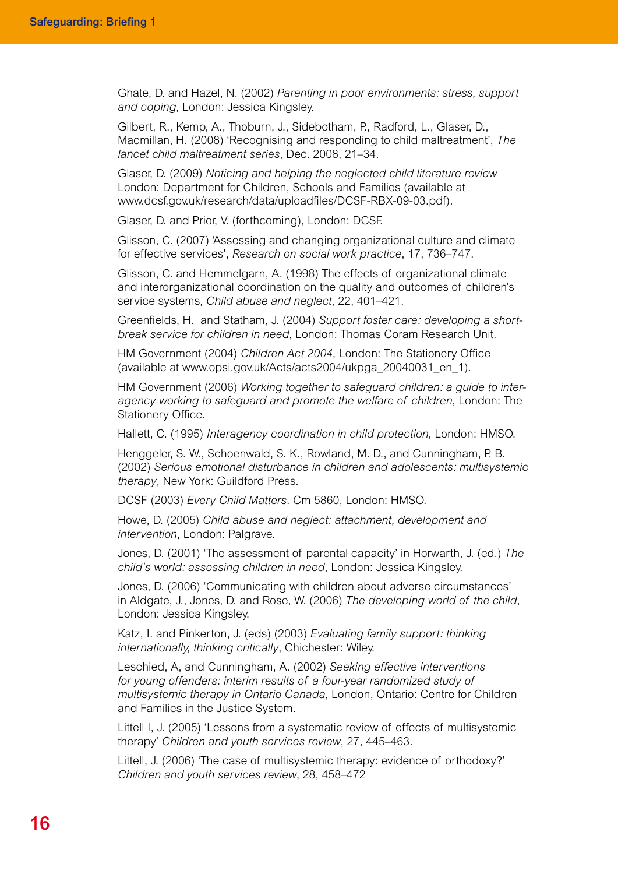Ghate, D. and Hazel, N. (2002) *Parenting in poor environments: stress, support and coping*, London: Jessica Kingsley.

Gilbert, R., Kemp, A., Thoburn, J., Sidebotham, P., Radford, L., Glaser, D., Macmillan, H. (2008) 'Recognising and responding to child maltreatment', *The lancet child maltreatment series*, Dec. 2008, 21–34.

Glaser, D. (2009) *Noticing and helping the neglected child literature review* London: Department for Children, Schools and Families (available at www.dcsf.gov.uk/research/data/uploadfiles/DCSF-RBX-09-03.pdf).

Glaser, D. and Prior, V. (forthcoming), London: DCSF.

Glisson, C. (2007) 'Assessing and changing organizational culture and climate for effective services', *Research on social work practice*, 17, 736–747.

Glisson, C. and Hemmelgarn, A. (1998) The effects of organizational climate and interorganizational coordination on the quality and outcomes of children's service systems, *Child abuse and neglect*, 22, 401–421.

Greenfields, H. and Statham, J. (2004) *Support foster care: developing a shortbreak service for children in need*, London: Thomas Coram Research Unit.

HM Government (2004) *Children Act 2004*, London: The Stationery Office (available at www.opsi.gov.uk/Acts/acts2004/ukpga\_20040031\_en\_1).

HM Government (2006) *Working together to safeguard children: a guide to interagency working to safeguard and promote the welfare of children*, London: The Stationery Office.

Hallett, C. (1995) *Interagency coordination in child protection*, London: HMSO.

Henggeler, S. W., Schoenwald, S. K., Rowland, M. D., and Cunningham, P. B. (2002) *Serious emotional disturbance in children and adolescents: multisystemic therapy*, New York: Guildford Press.

DCSF (2003) *Every Child Matters*. Cm 5860, London: HMSO.

Howe, D. (2005) *Child abuse and neglect: attachment, development and intervention*, London: Palgrave.

Jones, D. (2001) 'The assessment of parental capacity' in Horwarth, J. (ed.) *The child's world: assessing children in need*, London: Jessica Kingsley.

Jones, D. (2006) 'Communicating with children about adverse circumstances' in Aldgate, J., Jones, D. and Rose, W. (2006) *The developing world of the child*, London: Jessica Kingsley.

Katz, I. and Pinkerton, J. (eds) (2003) *Evaluating family support: thinking internationally, thinking critically*, Chichester: Wiley.

Leschied, A, and Cunningham, A. (2002) *Seeking effective interventions for young offenders: interim results of a four-year randomized study of multisystemic therapy in Ontario Canada*, London, Ontario: Centre for Children and Families in the Justice System.

Littell I, J. (2005) 'Lessons from a systematic review of effects of multisystemic therapy' *Children and youth services review*, 27, 445–463.

Littell, J. (2006) 'The case of multisystemic therapy: evidence of orthodoxy?' *Children and youth services review*, 28, 458–472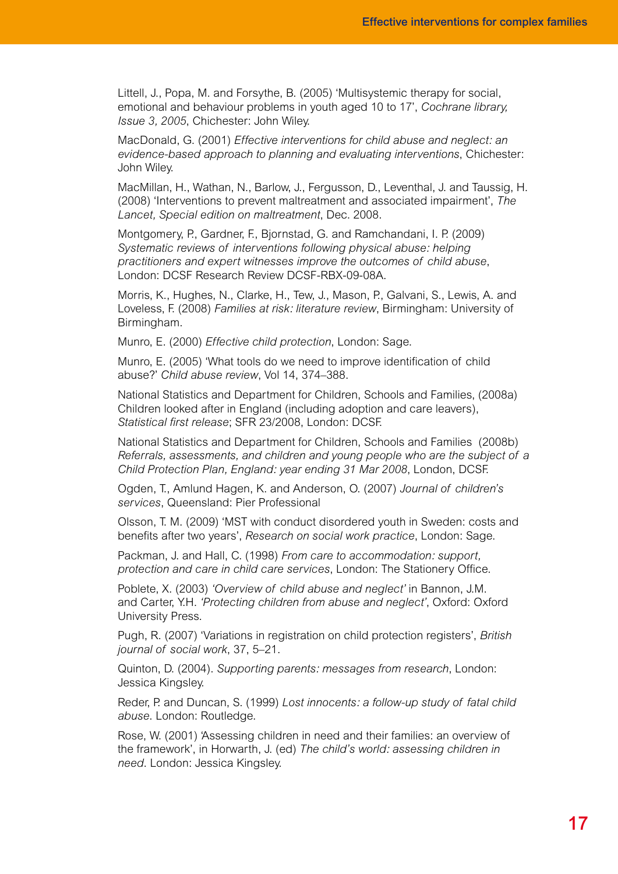Littell, J., Popa, M. and Forsythe, B. (2005) 'Multisystemic therapy for social, emotional and behaviour problems in youth aged 10 to 17', *Cochrane library, Issue 3, 2005*, Chichester: John Wiley.

MacDonald, G. (2001) *Effective interventions for child abuse and neglect: an evidence-based approach to planning and evaluating interventions*, Chichester: John Wiley.

MacMillan, H., Wathan, N., Barlow, J., Fergusson, D., Leventhal, J. and Taussig, H. (2008) 'Interventions to prevent maltreatment and associated impairment', *The Lancet, Special edition on maltreatment*, Dec. 2008.

Montgomery, P., Gardner, F., Bjornstad, G. and Ramchandani, I. P. (2009) *Systematic reviews of interventions following physical abuse: helping practitioners and expert witnesses improve the outcomes of child abuse*, London: DCSF Research Review DCSF-RBX-09-08A.

Morris, K., Hughes, N., Clarke, H., Tew, J., Mason, P., Galvani, S., Lewis, A. and Loveless, F. (2008) *Families at risk: literature review*, Birmingham: University of Birmingham.

Munro, E. (2000) *Effective child protection*, London: Sage.

Munro, E. (2005) 'What tools do we need to improve identification of child abuse?' *Child abuse review*, Vol 14, 374–388.

National Statistics and Department for Children, Schools and Families, (2008a) Children looked after in England (including adoption and care leavers), *Statistical first release*; SFR 23/2008, London: DCSF.

National Statistics and Department for Children, Schools and Families (2008b) *Referrals, assessments, and children and young people who are the subject of a Child Protection Plan, England: year ending 31 Mar 2008*, London, DCSF.

Ogden, T., Amlund Hagen, K. and Anderson, O. (2007) *Journal of children's services*, Queensland: Pier Professional

Olsson, T. M. (2009) 'MST with conduct disordered youth in Sweden: costs and benefits after two years', *Research on social work practice*, London: Sage.

Packman, J. and Hall, C. (1998) *From care to accommodation: support, protection and care in child care services*, London: The Stationery Office.

Poblete, X. (2003) *'Overview of child abuse and neglect'* in Bannon, J.M. and Carter, Y.H. *'Protecting children from abuse and neglect'*, Oxford: Oxford University Press.

Pugh, R. (2007) 'Variations in registration on child protection registers', *British journal of social work*, 37, 5–21.

Quinton, D. (2004). *Supporting parents: messages from research*, London: Jessica Kingsley.

Reder, P. and Duncan, S. (1999) *Lost innocents: a follow-up study of fatal child abuse*. London: Routledge.

Rose, W. (2001) 'Assessing children in need and their families: an overview of the framework', in Horwarth, J. (ed) *The child's world: assessing children in need*. London: Jessica Kingsley.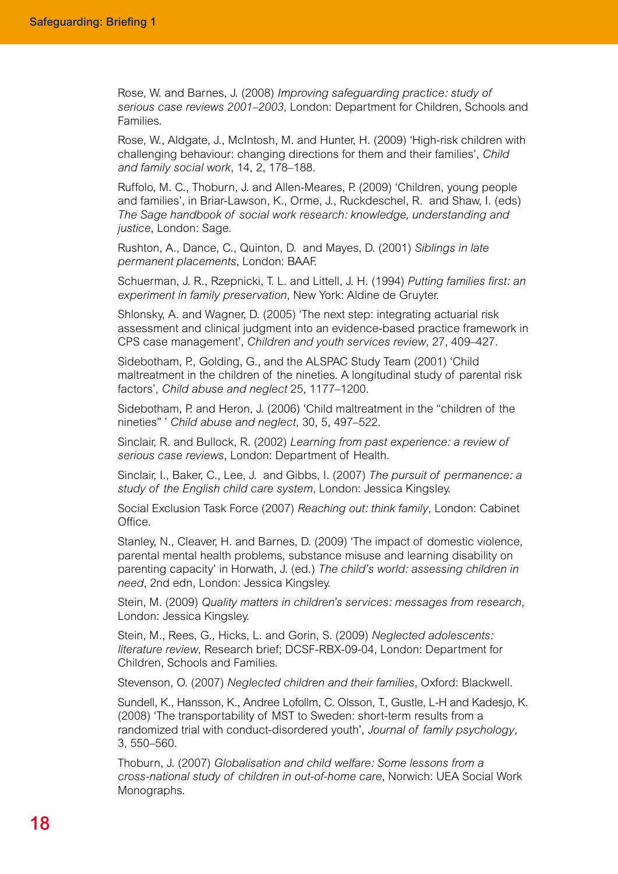Rose, W. and Barnes, J. (2008) *Improving safeguarding practice: study of serious case reviews 2001–2003*, London: Department for Children, Schools and Families.

Rose, W., Aldgate, J., McIntosh, M. and Hunter, H. (2009) 'High-risk children with challenging behaviour: changing directions for them and their families', *Child and family social work*, 14, 2, 178–188.

Ruffolo, M. C., Thoburn, J. and Allen-Meares, P. (2009) 'Children, young people and families', in Briar-Lawson, K., Orme, J., Ruckdeschel, R. and Shaw, I. (eds) *The Sage handbook of social work research: knowledge, understanding and justice*, London: Sage.

Rushton, A., Dance, C., Quinton, D. and Mayes, D. (2001) *Siblings in late permanent placements*, London: BAAF.

Schuerman, J. R., Rzepnicki, T. L. and Littell, J. H. (1994) *Putting families first: an experiment in family preservation*, New York: Aldine de Gruyter.

Shlonsky, A. and Wagner, D. (2005) 'The next step: integrating actuarial risk assessment and clinical judgment into an evidence-based practice framework in CPS case management', *Children and youth services review*, 27, 409–427.

Sidebotham, P., Golding, G., and the ALSPAC Study Team (2001) 'Child maltreatment in the children of the nineties. A longitudinal study of parental risk factors', *Child abuse and neglect* 25, 1177–1200.

Sidebotham, P. and Heron, J. (2006) 'Child maltreatment in the "children of the nineties" ' *Child abuse and neglect*, 30, 5, 497–522.

Sinclair, R. and Bullock, R. (2002) *Learning from past experience: a review of serious case reviews*, London: Department of Health.

Sinclair, I., Baker, C., Lee, J. and Gibbs, I. (2007) *The pursuit of permanence: a study of the English child care system*, London: Jessica Kingsley.

Social Exclusion Task Force (2007) *Reaching out: think family*, London: Cabinet Office.

Stanley, N., Cleaver, H. and Barnes, D. (2009) 'The impact of domestic violence, parental mental health problems, substance misuse and learning disability on parenting capacity' in Horwath, J. (ed.) *The child's world: assessing children in need*, 2nd edn, London: Jessica Kingsley.

Stein, M. (2009) *Quality matters in children's services: messages from research*, London: Jessica Kingsley.

Stein, M., Rees, G., Hicks, L. and Gorin, S. (2009) *Neglected adolescents: literature review*, Research brief; DCSF-RBX-09-04, London: Department for Children, Schools and Families.

Stevenson, O. (2007) *Neglected children and their families*, Oxford: Blackwell.

Sundell, K., Hansson, K., Andree Lofollm, C. Olsson, T., Gustle, L-H and Kadesjo, K. (2008) 'The transportability of MST to Sweden: short-term results from a randomized trial with conduct-disordered youth', *Journal of family psychology*, 3, 550–560.

Thoburn, J. (2007) *Globalisation and child welfare: Some lessons from a cross-national study of children in out-of-home care*, Norwich: UEA Social Work Monographs.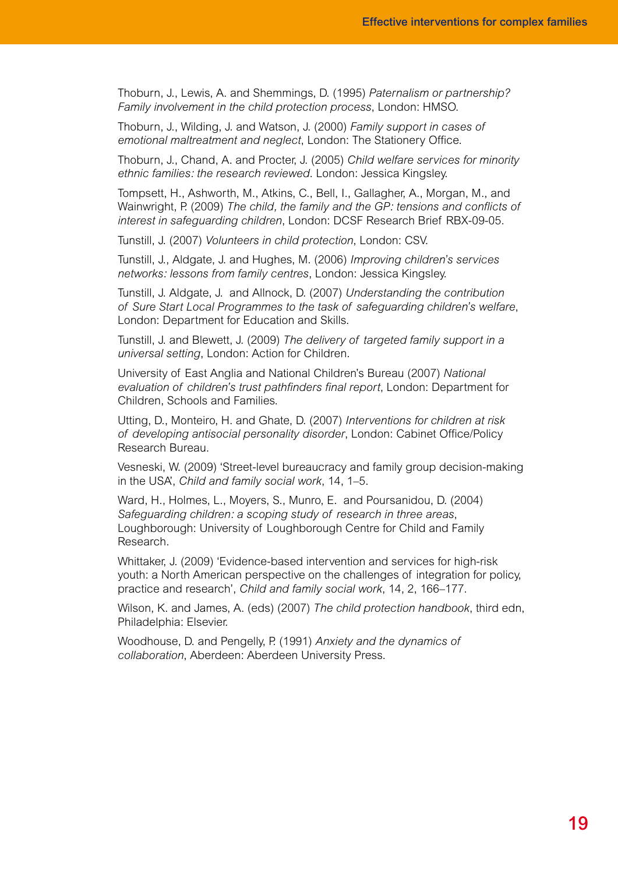Thoburn, J., Lewis, A. and Shemmings, D. (1995) *Paternalism or partnership? Family involvement in the child protection process*, London: HMSO.

Thoburn, J., Wilding, J. and Watson, J. (2000) *Family support in cases of emotional maltreatment and neglect*, London: The Stationery Office.

Thoburn, J., Chand, A. and Procter, J. (2005) *Child welfare services for minority ethnic families: the research reviewed*. London: Jessica Kingsley.

Tompsett, H., Ashworth, M., Atkins, C., Bell, I., Gallagher, A., Morgan, M., and Wainwright, P. (2009) *The child, the family and the GP: tensions and conflicts of interest in safeguarding children*, London: DCSF Research Brief RBX-09-05.

Tunstill, J. (2007) *Volunteers in child protection*, London: CSV.

Tunstill, J., Aldgate, J. and Hughes, M. (2006) *Improving children's services networks: lessons from family centres*, London: Jessica Kingsley.

Tunstill, J. Aldgate, J. and Allnock, D. (2007) *Understanding the contribution of Sure Start Local Programmes to the task of safeguarding children's welfare*, London: Department for Education and Skills.

Tunstill, J. and Blewett, J. (2009) *The delivery of targeted family support in a universal setting*, London: Action for Children.

University of East Anglia and National Children's Bureau (2007) *National evaluation of children's trust pathfinders final report*, London: Department for Children, Schools and Families.

Utting, D., Monteiro, H. and Ghate, D. (2007) *Interventions for children at risk of developing antisocial personality disorder*, London: Cabinet Office/Policy Research Bureau.

Vesneski, W. (2009) 'Street-level bureaucracy and family group decision-making in the USA', *Child and family social work*, 14, 1–5.

Ward, H., Holmes, L., Moyers, S., Munro, E. and Poursanidou, D. (2004) *Safeguarding children: a scoping study of research in three areas*, Loughborough: University of Loughborough Centre for Child and Family Research.

Whittaker, J. (2009) 'Evidence-based intervention and services for high-risk youth: a North American perspective on the challenges of integration for policy, practice and research', *Child and family social work*, 14, 2, 166–177.

Wilson, K. and James, A. (eds) (2007) *The child protection handbook*, third edn, Philadelphia: Elsevier.

Woodhouse, D. and Pengelly, P. (1991) *Anxiety and the dynamics of collaboration*, Aberdeen: Aberdeen University Press.